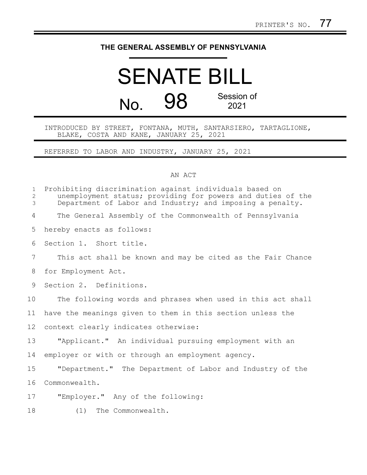## **THE GENERAL ASSEMBLY OF PENNSYLVANIA**

## SENATE BILL No. 98 Session of 2021

INTRODUCED BY STREET, FONTANA, MUTH, SANTARSIERO, TARTAGLIONE, BLAKE, COSTA AND KANE, JANUARY 25, 2021

REFERRED TO LABOR AND INDUSTRY, JANUARY 25, 2021

## AN ACT

| $\mathbf 1$<br>2<br>3 | Prohibiting discrimination against individuals based on<br>unemployment status; providing for powers and duties of the<br>Department of Labor and Industry; and imposing a penalty. |
|-----------------------|-------------------------------------------------------------------------------------------------------------------------------------------------------------------------------------|
| 4                     | The General Assembly of the Commonwealth of Pennsylvania                                                                                                                            |
| 5                     | hereby enacts as follows:                                                                                                                                                           |
| 6                     | Section 1. Short title.                                                                                                                                                             |
| $\overline{7}$        | This act shall be known and may be cited as the Fair Chance                                                                                                                         |
| 8                     | for Employment Act.                                                                                                                                                                 |
| 9                     | Section 2. Definitions.                                                                                                                                                             |
| 10                    | The following words and phrases when used in this act shall                                                                                                                         |
| 11                    | have the meanings given to them in this section unless the                                                                                                                          |
| 12                    | context clearly indicates otherwise:                                                                                                                                                |
| 13                    | "Applicant." An individual pursuing employment with an                                                                                                                              |
| 14                    | employer or with or through an employment agency.                                                                                                                                   |
| 15                    | "Department." The Department of Labor and Industry of the                                                                                                                           |
| 16                    | Commonwealth.                                                                                                                                                                       |
| 17                    | "Employer." Any of the following:                                                                                                                                                   |
| 18                    | The Commonwealth.<br>(1)                                                                                                                                                            |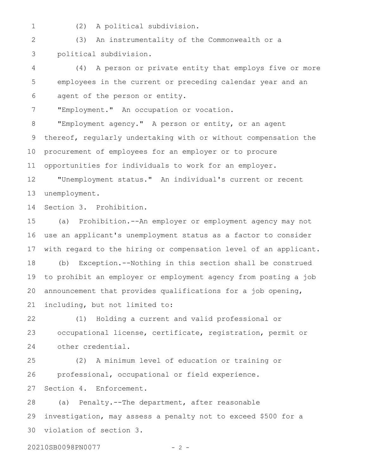1

(2) A political subdivision.

(3) An instrumentality of the Commonwealth or a political subdivision. 2 3

(4) A person or private entity that employs five or more employees in the current or preceding calendar year and an agent of the person or entity. 4 5 6

"Employment." An occupation or vocation. 7

"Employment agency." A person or entity, or an agent thereof, regularly undertaking with or without compensation the procurement of employees for an employer or to procure opportunities for individuals to work for an employer. 8 9 10 11

"Unemployment status." An individual's current or recent unemployment. 12 13

Section 3. Prohibition. 14

(a) Prohibition.--An employer or employment agency may not use an applicant's unemployment status as a factor to consider with regard to the hiring or compensation level of an applicant. (b) Exception.--Nothing in this section shall be construed to prohibit an employer or employment agency from posting a job announcement that provides qualifications for a job opening, including, but not limited to: 15 16 17 18 19 20 21

(1) Holding a current and valid professional or occupational license, certificate, registration, permit or other credential. 22 23 24

(2) A minimum level of education or training or professional, occupational or field experience. Section 4. Enforcement. 25 26 27

(a) Penalty.--The department, after reasonable investigation, may assess a penalty not to exceed \$500 for a violation of section 3. 28 29 30

20210SB0098PN0077 - 2 -